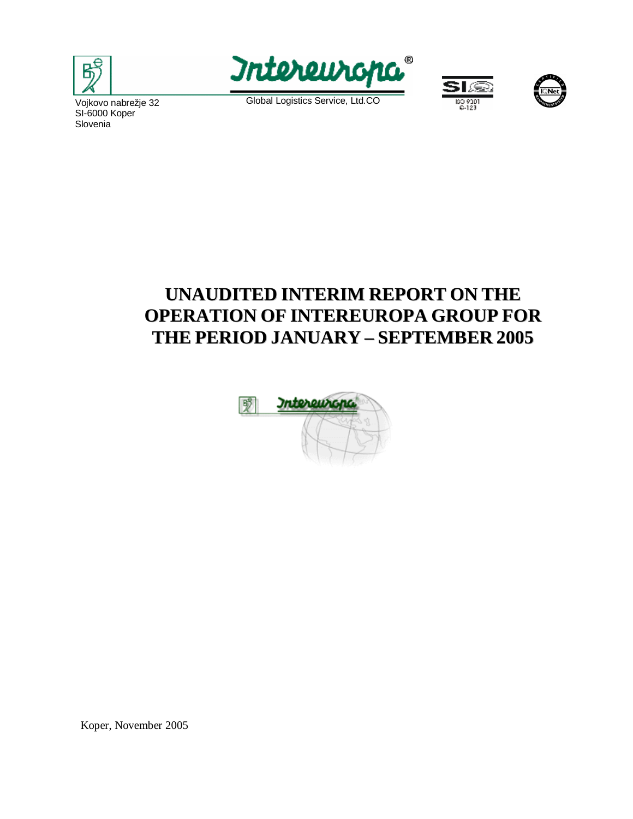



 Global Logistics Service, Ltd.CO





 Slovenia Vojkovo nabrežje 32 SI-6000 Koper

# **UNAUDITED INTERIM REPORT ON THE OPERATION OF INTEREUROPA GROUP FOR THE PERIOD JANUARY – SEPTEMBER 2005**



Koper, November 2005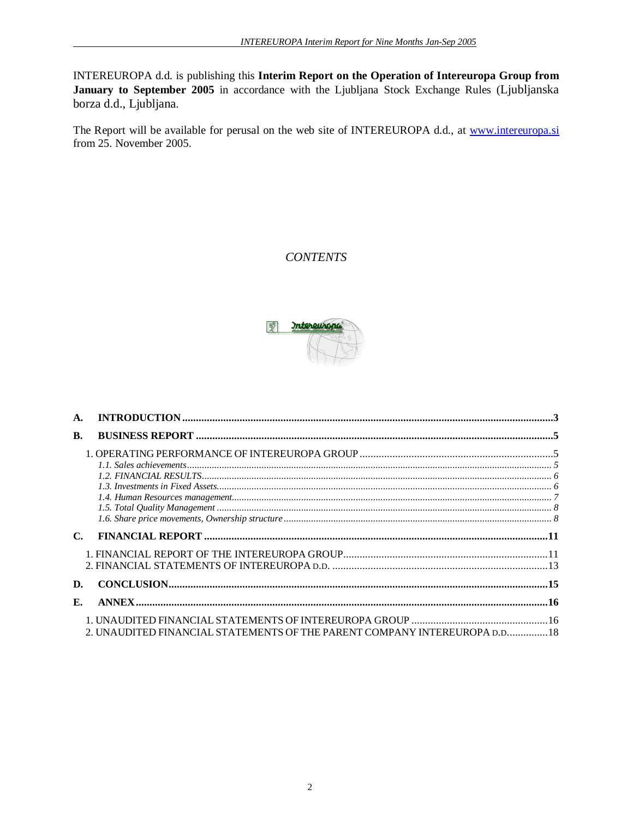INTEREUROPA d.d. is publishing this **Interim Report on the Operation of Intereuropa Group from January to September 2005** in accordance with the Ljubljana Stock Exchange Rules (Ljubljanska borza d.d., Ljubljana.

The Report will be available for perusal on the web site of INTEREUROPA d.d., at [www.intereuropa.si](http://www.intereuropa.si) from 25. November 2005.

## *CONTENTS*



| $\mathbf{A}$ . |                                                                                           |  |
|----------------|-------------------------------------------------------------------------------------------|--|
| <b>B.</b>      |                                                                                           |  |
|                |                                                                                           |  |
|                |                                                                                           |  |
|                |                                                                                           |  |
|                |                                                                                           |  |
|                |                                                                                           |  |
|                |                                                                                           |  |
|                |                                                                                           |  |
|                |                                                                                           |  |
|                |                                                                                           |  |
| D.             |                                                                                           |  |
| $\mathbf{E}$ . |                                                                                           |  |
|                | 2. UNAUDITED FINANCIAL STATEMENTS OF THE PARENT COMPANY INTEREUROPA D.D.,,,,,,,,,,,,,, 18 |  |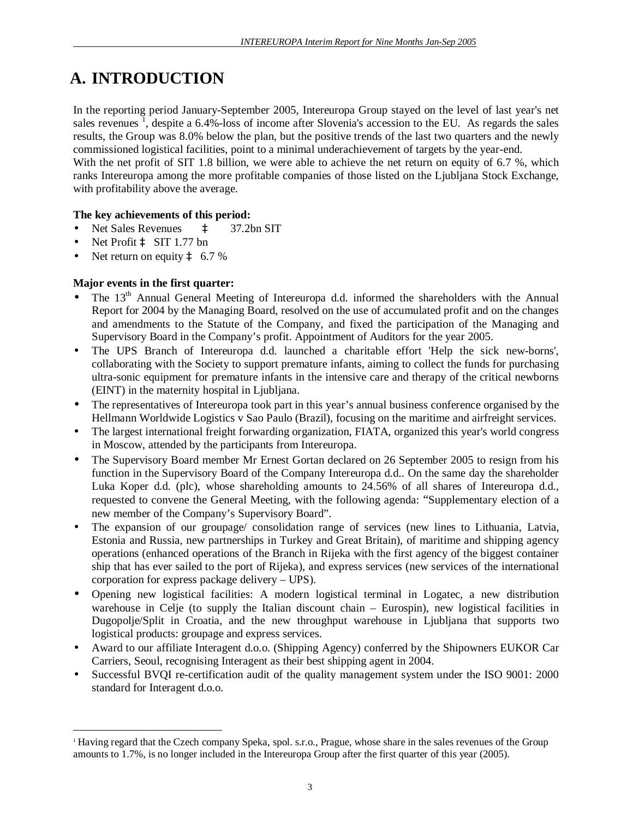# **A. INTRODUCTION**

In the reporting period January-September 2005, Intereuropa Group stayed on the level of last year's net sales revenues<sup>1</sup>, despite a  $6.4\%$ -loss of income after Slovenia's accession to the EU. As regards the sales results, the Group was 8.0% below the plan, but the positive trends of the last two quarters and the newly commissioned logistical facilities, point to a minimal underachievement of targets by the year-end. With the net profit of SIT 1.8 billion, we were able to achieve the net return on equity of 6.7 %, which ranks Intereuropa among the more profitable companies of those listed on the Ljubljana Stock Exchange,

with profitability above the average.

### **The key achievements of this period:**

- Net Sales Revenues à 37.2bn SIT
- Net Profit à SIT 1.77 bn

 $\overline{a}$ 

Net return on equity  $\hat{a}$  6.7 %

### **Major events in the first quarter:**

- The 13<sup>th</sup> Annual General Meeting of Intereuropa d.d. informed the shareholders with the Annual Report for 2004 by the Managing Board, resolved on the use of accumulated profit and on the changes and amendments to the Statute of the Company, and fixed the participation of the Managing and Supervisory Board in the Company's profit. Appointment of Auditors for the year 2005.
- The UPS Branch of Intereuropa d.d. launched a charitable effort 'Help the sick new-borns', collaborating with the Society to support premature infants, aiming to collect the funds for purchasing ultra-sonic equipment for premature infants in the intensive care and therapy of the critical newborns (EINT) in the maternity hospital in Ljubljana.
- The representatives of Intereuropa took part in this year's annual business conference organised by the Hellmann Worldwide Logistics v Sao Paulo (Brazil), focusing on the maritime and airfreight services.
- The largest international freight forwarding organization, FIATA, organized this year's world congress in Moscow, attended by the participants from Intereuropa.
- The Supervisory Board member Mr Ernest Gortan declared on 26 September 2005 to resign from his function in the Supervisory Board of the Company Intereuropa d.d.. On the same day the shareholder Luka Koper d.d. (plc), whose shareholding amounts to 24.56% of all shares of Intereuropa d.d., requested to convene the General Meeting, with the following agenda: "Supplementary election of a new member of the Company's Supervisory Board".
- The expansion of our groupage/ consolidation range of services (new lines to Lithuania, Latvia, Estonia and Russia, new partnerships in Turkey and Great Britain), of maritime and shipping agency operations (enhanced operations of the Branch in Rijeka with the first agency of the biggest container ship that has ever sailed to the port of Rijeka), and express services (new services of the international corporation for express package delivery – UPS).
- Opening new logistical facilities: A modern logistical terminal in Logatec, a new distribution warehouse in Celje (to supply the Italian discount chain – Eurospin), new logistical facilities in Dugopolje/Split in Croatia, and the new throughput warehouse in Ljubljana that supports two logistical products: groupage and express services.
- Award to our affiliate Interagent d.o.o. (Shipping Agency) conferred by the Shipowners EUKOR Car Carriers, Seoul, recognising Interagent as their best shipping agent in 2004.
- Successful BVQI re-certification audit of the quality management system under the ISO 9001: 2000 standard for Interagent d.o.o.

<sup>1</sup> Having regard that the Czech company Speka, spol. s.r.o., Prague, whose share in the sales revenues of the Group amounts to 1.7%, is no longer included in the Intereuropa Group after the first quarter of this year (2005).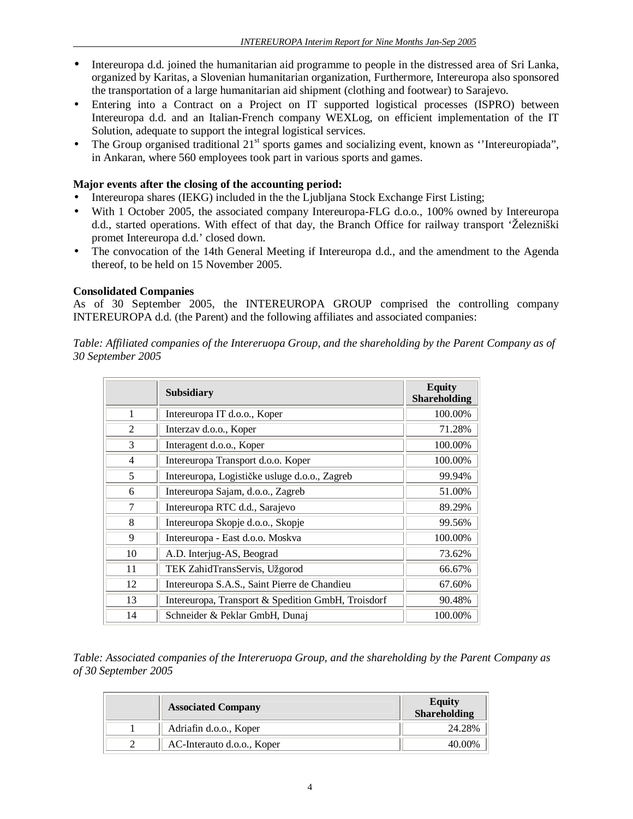- Intereuropa d.d. joined the humanitarian aid programme to people in the distressed area of Sri Lanka, organized by Karitas, a Slovenian humanitarian organization, Furthermore, Intereuropa also sponsored the transportation of a large humanitarian aid shipment (clothing and footwear) to Sarajevo.
- Entering into a Contract on a Project on IT supported logistical processes (ISPRO) between Intereuropa d.d. and an Italian-French company WEXLog, on efficient implementation of the IT Solution, adequate to support the integral logistical services.
- The Group organised traditional 21<sup>st</sup> sports games and socializing event, known as "Intereuropiada", in Ankaran, where 560 employees took part in various sports and games.

### **Major events after the closing of the accounting period:**

- Intereuropa shares (IEKG) included in the the Ljubljana Stock Exchange First Listing;
- With 1 October 2005, the associated company Intereuropa-FLG d.o.o., 100% owned by Intereuropa d.d., started operations. With effect of that day, the Branch Office for railway transport 'Železniški promet Intereuropa d.d.' closed down.
- The convocation of the 14th General Meeting if Intereuropa d.d., and the amendment to the Agenda thereof, to be held on 15 November 2005.

#### **Consolidated Companies**

As of 30 September 2005, the INTEREUROPA GROUP comprised the controlling company INTEREUROPA d.d. (the Parent) and the following affiliates and associated companies:

*Table: Affiliated companies of the Intereruopa Group, and the shareholding by the Parent Company as of 30 September 2005* 

|    | <b>Subsidiary</b>                                  | <b>Equity</b><br><b>Shareholding</b> |
|----|----------------------------------------------------|--------------------------------------|
| 1  | Intereuropa IT d.o.o., Koper                       | 100.00%                              |
| 2  | Interzav d.o.o., Koper                             | 71.28%                               |
| 3  | Interagent d.o.o., Koper                           | 100.00%                              |
| 4  | Intereuropa Transport d.o.o. Koper                 | 100.00%                              |
| 5  | Intereuropa, Logističke usluge d.o.o., Zagreb      | 99.94%                               |
| 6  | Intereuropa Sajam, d.o.o., Zagreb                  | 51.00%                               |
| 7  | Intereuropa RTC d.d., Sarajevo                     | 89.29%                               |
| 8  | Intereuropa Skopje d.o.o., Skopje                  | 99.56%                               |
| 9  | Intereuropa - East d.o.o. Moskva                   | 100.00%                              |
| 10 | A.D. Interjug-AS, Beograd                          | 73.62%                               |
| 11 | TEK ZahidTransServis, Užgorod                      | 66.67%                               |
| 12 | Intereuropa S.A.S., Saint Pierre de Chandieu       | 67.60%                               |
| 13 | Intereuropa, Transport & Spedition GmbH, Troisdorf | 90.48%                               |
| 14 | Schneider & Peklar GmbH, Dunaj                     | 100.00%                              |

*Table: Associated companies of the Intereruopa Group, and the shareholding by the Parent Company as of 30 September 2005* 

| <b>Associated Company</b>  | Equity<br>Shareholding |
|----------------------------|------------------------|
| Adriafin d.o.o., Koper     | 24.28%                 |
| AC-Interauto d.o.o., Koper | 40.00%                 |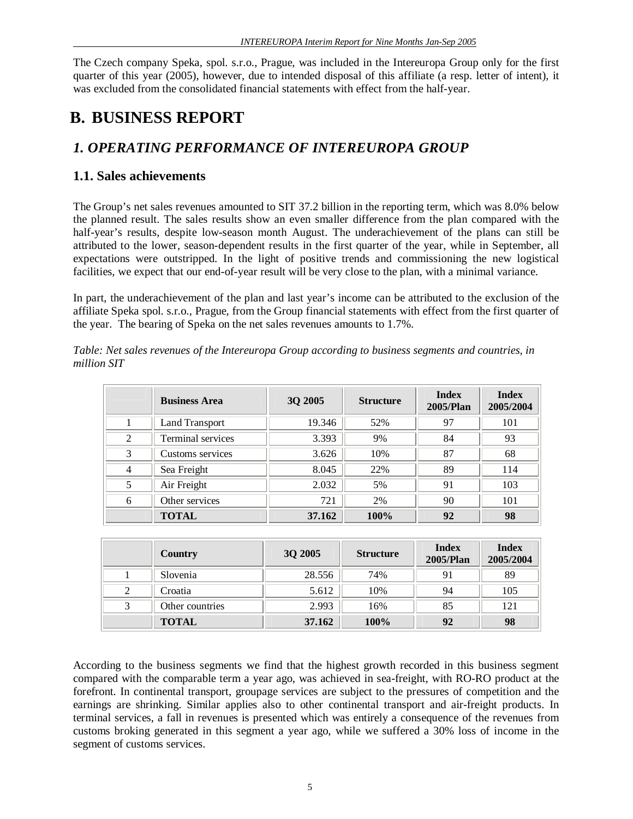The Czech company Speka, spol. s.r.o., Prague, was included in the Intereuropa Group only for the first quarter of this year (2005), however, due to intended disposal of this affiliate (a resp. letter of intent), it was excluded from the consolidated financial statements with effect from the half-year.

# **B. BUSINESS REPORT**

# *1. OPERATING PERFORMANCE OF INTEREUROPA GROUP*

# **1.1. Sales achievements**

The Group's net sales revenues amounted to SIT 37.2 billion in the reporting term, which was 8.0% below the planned result. The sales results show an even smaller difference from the plan compared with the half-year's results, despite low-season month August. The underachievement of the plans can still be attributed to the lower, season-dependent results in the first quarter of the year, while in September, all expectations were outstripped. In the light of positive trends and commissioning the new logistical facilities, we expect that our end-of-year result will be very close to the plan, with a minimal variance.

In part, the underachievement of the plan and last year's income can be attributed to the exclusion of the affiliate Speka spol. s.r.o., Prague, from the Group financial statements with effect from the first quarter of the year. The bearing of Speka on the net sales revenues amounts to 1.7%.

|   | <b>Business Area</b>  | 3Q 2005 | <b>Structure</b> | <b>Index</b><br>2005/Plan | <b>Index</b><br>2005/2004 |
|---|-----------------------|---------|------------------|---------------------------|---------------------------|
|   | <b>Land Transport</b> | 19.346  | 52%              | 97                        | 101                       |
| 2 | Terminal services     | 3.393   | 9%               | 84                        | 93                        |
| 3 | Customs services      | 3.626   | 10%              | 87                        | 68                        |
| 4 | Sea Freight           | 8.045   | 22%              | 89                        | 114                       |
| 5 | Air Freight           | 2.032   | 5%               | 91                        | 103                       |
| 6 | Other services        | 721     | 2%               | 90                        | 101                       |
|   | <b>TOTAL</b>          | 37.162  | 100%             | 92                        | 98                        |

*Table: Net sales revenues of the Intereuropa Group according to business segments and countries, in million SIT* 

| Country         | 3Q 2005 | <b>Structure</b> | <b>Index</b><br>2005/Plan | <b>Index</b><br>2005/2004 |
|-----------------|---------|------------------|---------------------------|---------------------------|
| Slovenia        | 28.556  | 74%              | 91                        | 89                        |
| Croatia         | 5.612   | 10%              | 94                        | 105                       |
| Other countries | 2.993   | 16%              | 85                        | 121                       |
| <b>TOTAL</b>    | 37.162  | 100%             | 92                        | 98                        |

According to the business segments we find that the highest growth recorded in this business segment compared with the comparable term a year ago, was achieved in sea-freight, with RO-RO product at the forefront. In continental transport, groupage services are subject to the pressures of competition and the earnings are shrinking. Similar applies also to other continental transport and air-freight products. In terminal services, a fall in revenues is presented which was entirely a consequence of the revenues from customs broking generated in this segment a year ago, while we suffered a 30% loss of income in the segment of customs services.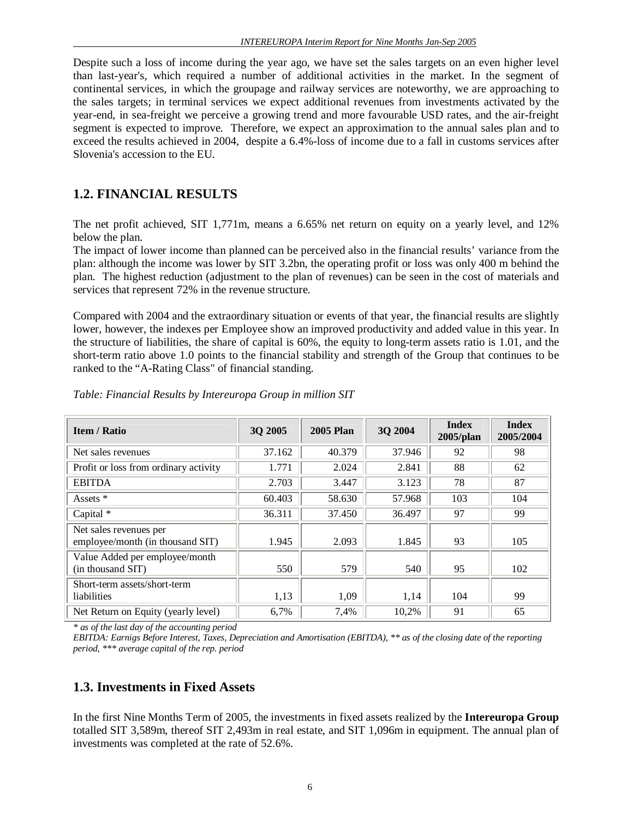Despite such a loss of income during the year ago, we have set the sales targets on an even higher level than last-year's, which required a number of additional activities in the market. In the segment of continental services, in which the groupage and railway services are noteworthy, we are approaching to the sales targets; in terminal services we expect additional revenues from investments activated by the year-end, in sea-freight we perceive a growing trend and more favourable USD rates, and the air-freight segment is expected to improve. Therefore, we expect an approximation to the annual sales plan and to exceed the results achieved in 2004, despite a 6.4%-loss of income due to a fall in customs services after Slovenia's accession to the EU.

# **1.2. FINANCIAL RESULTS**

The net profit achieved, SIT 1,771m, means a 6.65% net return on equity on a yearly level, and 12% below the plan.

The impact of lower income than planned can be perceived also in the financial results' variance from the plan: although the income was lower by SIT 3.2bn, the operating profit or loss was only 400 m behind the plan. The highest reduction (adjustment to the plan of revenues) can be seen in the cost of materials and services that represent 72% in the revenue structure.

Compared with 2004 and the extraordinary situation or events of that year, the financial results are slightly lower, however, the indexes per Employee show an improved productivity and added value in this year. In the structure of liabilities, the share of capital is 60%, the equity to long-term assets ratio is 1.01, and the short-term ratio above 1.0 points to the financial stability and strength of the Group that continues to be ranked to the "A-Rating Class" of financial standing.

| <b>Item / Ratio</b>                                        | 3Q 2005 | <b>2005 Plan</b> | 3Q 2004 | <b>Index</b><br>2005/plan | <b>Index</b><br>2005/2004 |
|------------------------------------------------------------|---------|------------------|---------|---------------------------|---------------------------|
| Net sales revenues                                         | 37.162  | 40.379           | 37.946  | 92                        | 98                        |
| Profit or loss from ordinary activity                      | 1.771   | 2.024            | 2.841   | 88                        | 62                        |
| <b>EBITDA</b>                                              | 2.703   | 3.447            | 3.123   | 78                        | 87                        |
| Assets *                                                   | 60.403  | 58.630           | 57.968  | 103                       | 104                       |
| Capital $*$                                                | 36.311  | 37.450           | 36.497  | 97                        | 99                        |
| Net sales revenues per<br>employee/month (in thousand SIT) | 1.945   | 2.093            | 1.845   | 93                        | 105                       |
| Value Added per employee/month<br>(in thousand SIT)        | 550     | 579              | 540     | 95                        | 102                       |
| Short-term assets/short-term<br>liabilities                | 1,13    | 1,09             | 1,14    | 104                       | 99                        |
| Net Return on Equity (yearly level)                        | 6,7%    | 7,4%             | 10,2%   | 91                        | 65                        |

#### *Table: Financial Results by Intereuropa Group in million SIT*

*\* as of the last day of the accounting period* 

EBITDA: Earnigs Before Interest, Taxes, Depreciation and Amortisation (EBITDA), \*\* as of the closing date of the reporting *period, \*\*\* average capital of the rep. period*

## **1.3. Investments in Fixed Assets**

In the first Nine Months Term of 2005, the investments in fixed assets realized by the **Intereuropa Group**  totalled SIT 3,589m, thereof SIT 2,493m in real estate, and SIT 1,096m in equipment. The annual plan of investments was completed at the rate of 52.6%.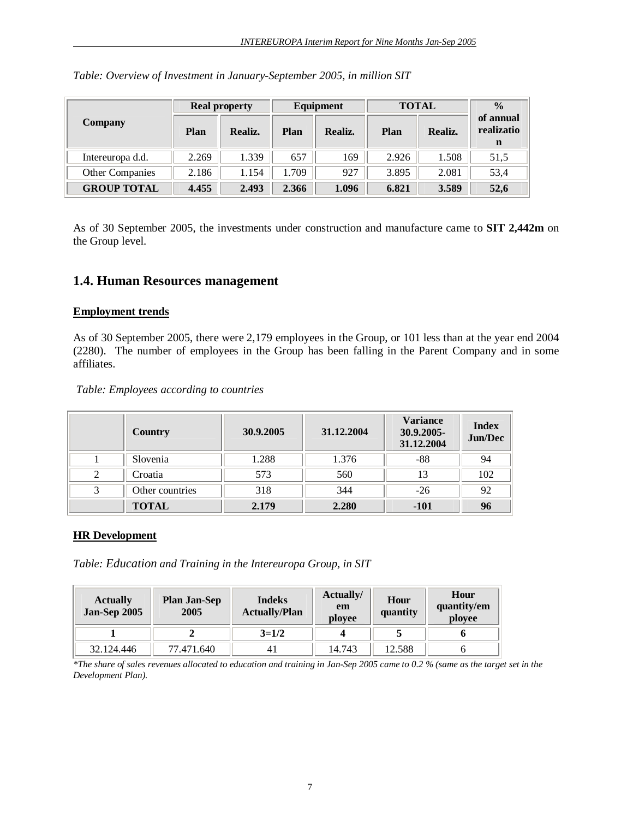|                    |       | <b>Real property</b> | Equipment |         | <b>TOTAL</b> |         | $\frac{0}{0}$           |
|--------------------|-------|----------------------|-----------|---------|--------------|---------|-------------------------|
| <b>Company</b>     | Plan  | Realiz.              | Plan      | Realiz. | Plan         | Realiz. | of annual<br>realizatio |
|                    |       |                      |           |         |              |         | n                       |
| Intereuropa d.d.   | 2.269 | 1.339                | 657       | 169     | 2.926        | 1.508   | 51,5                    |
| Other Companies    | 2.186 | 1.154                | 1.709     | 927     | 3.895        | 2.081   | 53,4                    |
| <b>GROUP TOTAL</b> | 4.455 | 2.493                | 2.366     | 1.096   | 6.821        | 3.589   | 52,6                    |

|  |  |  | Table: Overview of Investment in January-September 2005, in million SIT |
|--|--|--|-------------------------------------------------------------------------|
|  |  |  |                                                                         |

As of 30 September 2005, the investments under construction and manufacture came to **SIT 2,442m** on the Group level.

## **1.4. Human Resources management**

#### **Employment trends**

As of 30 September 2005, there were 2,179 employees in the Group, or 101 less than at the year end 2004 (2280). The number of employees in the Group has been falling in the Parent Company and in some affiliates.

#### *Table: Employees according to countries*

|   | Country         | 30.9.2005 | 31.12.2004 | <b>Variance</b><br>30.9.2005-<br>31.12.2004 | <b>Index</b><br>Jun/Dec |
|---|-----------------|-----------|------------|---------------------------------------------|-------------------------|
|   | Slovenia        | 1.288     | 1.376      | -88                                         | 94                      |
| 2 | Croatia         | 573       | 560        | 13                                          | 102                     |
|   | Other countries | 318       | 344        | $-26$                                       | 92                      |
|   | <b>TOTAL</b>    | 2.179     | 2.280      | -101                                        | 96                      |

#### **HR Development**

*Table: Education and Training in the Intereuropa Group, in SIT* 

| <b>Actually</b><br><b>Jan-Sep 2005</b> | <b>Plan Jan-Sep</b><br>2005 | <b>Indeks</b><br><b>Actually/Plan</b> | Actually/<br>em<br>ployee | Hour<br>quantity | Hour<br>quantity/em<br>ployee |
|----------------------------------------|-----------------------------|---------------------------------------|---------------------------|------------------|-------------------------------|
|                                        |                             | $3=1/2$                               |                           |                  |                               |
| 32.124.446                             | 77.471.640                  | 4,                                    | 14.743                    | 12.588           |                               |

\*The share of sales revenues allocated to education and training in Jan-Sep 2005 came to 0.2 % (same as the target set in the *Development Plan).*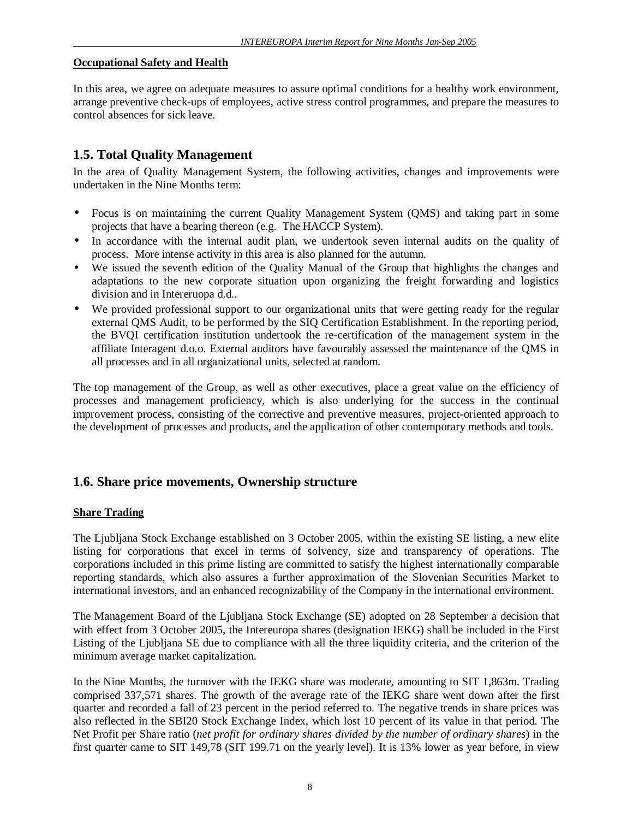#### **Occupational Safety and Health**

In this area, we agree on adequate measures to assure optimal conditions for a healthy work environment, arrange preventive check-ups of employees, active stress control programmes, and prepare the measures to control absences for sick leave.

# **1.5. Total Quality Management**

In the area of Quality Management System, the following activities, changes and improvements were undertaken in the Nine Months term:

- Focus is on maintaining the current Quality Management System (QMS) and taking part in some projects that have a bearing thereon (e.g. The HACCP System).
- In accordance with the internal audit plan, we undertook seven internal audits on the quality of process. More intense activity in this area is also planned for the autumn.
- We issued the seventh edition of the Quality Manual of the Group that highlights the changes and adaptations to the new corporate situation upon organizing the freight forwarding and logistics division and in Intereruopa d.d..
- We provided professional support to our organizational units that were getting ready for the regular external QMS Audit, to be performed by the SIQ Certification Establishment. In the reporting period, the BVQI certification institution undertook the re-certification of the management system in the affiliate Interagent d.o.o. External auditors have favourably assessed the maintenance of the QMS in all processes and in all organizational units, selected at random.

The top management of the Group, as well as other executives, place a great value on the efficiency of processes and management proficiency, which is also underlying for the success in the continual improvement process, consisting of the corrective and preventive measures, project-oriented approach to the development of processes and products, and the application of other contemporary methods and tools.

## **1.6. Share price movements, Ownership structure**

#### **Share Trading**

The Ljubljana Stock Exchange established on 3 October 2005, within the existing SE listing, a new elite listing for corporations that excel in terms of solvency, size and transparency of operations. The corporations included in this prime listing are committed to satisfy the highest internationally comparable reporting standards, which also assures a further approximation of the Slovenian Securities Market to international investors, and an enhanced recognizability of the Company in the international environment.

The Management Board of the Ljubljana Stock Exchange (SE) adopted on 28 September a decision that with effect from 3 October 2005, the Intereuropa shares (designation IEKG) shall be included in the First Listing of the Ljubljana SE due to compliance with all the three liquidity criteria, and the criterion of the minimum average market capitalization.

In the Nine Months, the turnover with the IEKG share was moderate, amounting to SIT 1,863m. Trading comprised 337,571 shares. The growth of the average rate of the IEKG share went down after the first quarter and recorded a fall of 23 percent in the period referred to. The negative trends in share prices was also reflected in the SBI20 Stock Exchange Index, which lost 10 percent of its value in that period. The Net Profit per Share ratio (*net profit for ordinary shares divided by the number of ordinary shares*) in the first quarter came to SIT 149,78 (SIT 199.71 on the yearly level). It is 13% lower as year before, in view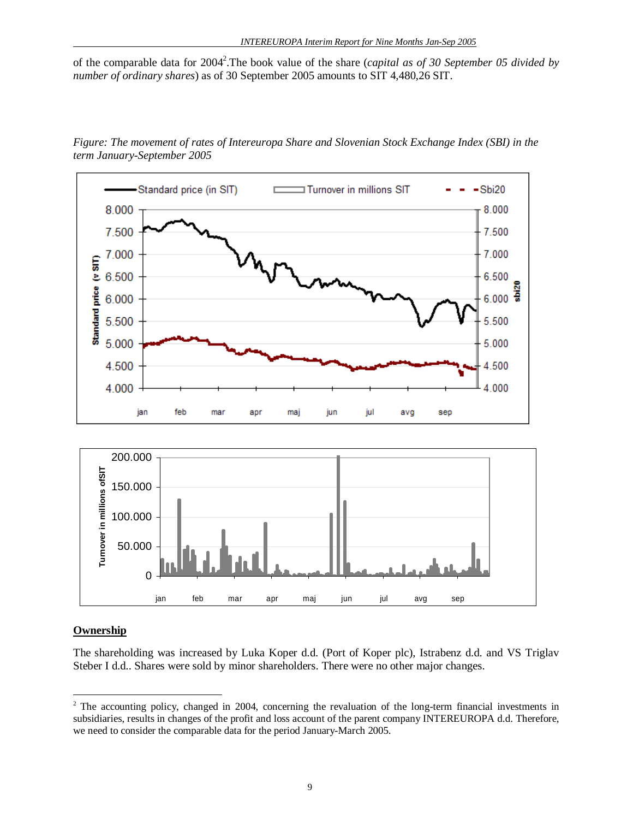of the comparable data for 2004<sup>2</sup>. The book value of the share (*capital as of 30 September 05 divided by number of ordinary shares*) as of 30 September 2005 amounts to SIT 4,480,26 SIT.



*Figure: The movement of rates of Intereuropa Share and Slovenian Stock Exchange Index (SBI) in the term January-September 2005*

### **Ownership**

 $\overline{a}$ 

The shareholding was increased by Luka Koper d.d. (Port of Koper plc), Istrabenz d.d. and VS Triglav Steber I d.d.. Shares were sold by minor shareholders. There were no other major changes.

sep

apr

<sup>&</sup>lt;sup>2</sup> The accounting policy, changed in 2004, concerning the revaluation of the long-term financial investments in subsidiaries, results in changes of the profit and loss account of the parent company INTEREUROPA d.d. Therefore, we need to consider the comparable data for the period January-March 2005.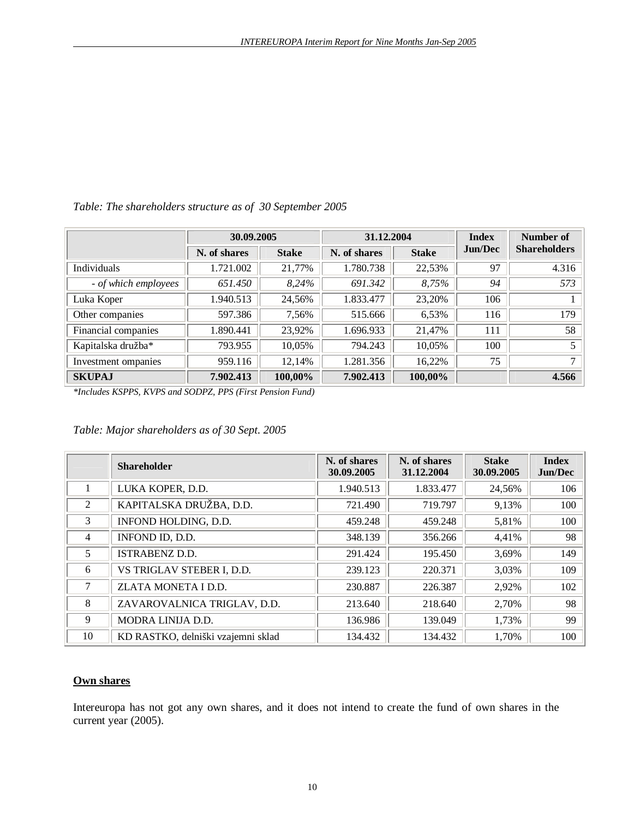|                      | 30.09.2005   |              | 31.12.2004   |              | <b>Index</b>   | Number of           |
|----------------------|--------------|--------------|--------------|--------------|----------------|---------------------|
|                      | N. of shares | <b>Stake</b> | N. of shares | <b>Stake</b> | <b>Jun/Dec</b> | <b>Shareholders</b> |
| Individuals          | 1.721.002    | 21,77%       | 1.780.738    | 22,53%       | 97             | 4.316               |
| - of which employees | 651.450      | 8,24%        | 691.342      | 8,75%        | 94             | 573                 |
| Luka Koper           | 1.940.513    | 24,56%       | 1.833.477    | 23,20%       | 106            |                     |
| Other companies      | 597.386      | 7,56%        | 515.666      | 6,53%        | 116            | 179                 |
| Financial companies  | 1.890.441    | 23,92%       | 1.696.933    | 21,47%       | 111            | 58                  |
| Kapitalska družba*   | 793.955      | 10,05%       | 794.243      | 10,05%       | 100            | 5                   |
| Investment ompanies  | 959.116      | 12,14%       | 1.281.356    | 16.22%       | 75             | $\mathbf{r}$        |
| <b>SKUPAJ</b>        | 7.902.413    | 100,00%      | 7.902.413    | 100,00%      |                | 4.566               |

## *Table: The shareholders structure as of 30 September 2005*

*\*Includes KSPPS, KVPS and SODPZ, PPS (First Pension Fund)* 

#### *Table: Major shareholders as of 30 Sept. 2005*

|                | <b>Shareholder</b>                 | N. of shares<br>30.09.2005 | N. of shares<br>31.12.2004 | <b>Stake</b><br>30.09.2005 | <b>Index</b><br><b>Jun/Dec</b> |
|----------------|------------------------------------|----------------------------|----------------------------|----------------------------|--------------------------------|
|                | LUKA KOPER, D.D.                   | 1.940.513                  | 1.833.477                  | 24,56%                     | 106                            |
| 2              | KAPITALSKA DRUŽBA, D.D.            | 721.490                    | 719.797                    | 9,13%                      | 100                            |
| 3              | INFOND HOLDING, D.D.               | 459.248                    | 459.248                    | 5,81%                      | 100                            |
| $\overline{4}$ | INFOND ID, D.D.                    | 348.139                    | 356.266                    | 4,41%                      | 98                             |
| 5              | <b>ISTRABENZ D.D.</b>              | 291.424                    | 195.450                    | 3,69%                      | 149                            |
| 6              | VS TRIGLAV STEBER I, D.D.          | 239.123                    | 220.371                    | 3,03%                      | 109                            |
| 7              | ZLATA MONETA I D.D.                | 230.887                    | 226.387                    | 2,92%                      | 102                            |
| 8              | ZAVAROVALNICA TRIGLAV, D.D.        | 213.640                    | 218.640                    | 2,70%                      | 98                             |
| 9              | MODRA LINIJA D.D.                  | 136.986                    | 139.049                    | 1,73%                      | 99                             |
| 10             | KD RASTKO, delniški vzajemni sklad | 134.432                    | 134.432                    | 1,70%                      | 100                            |

#### **Own shares**

Intereuropa has not got any own shares, and it does not intend to create the fund of own shares in the current year (2005).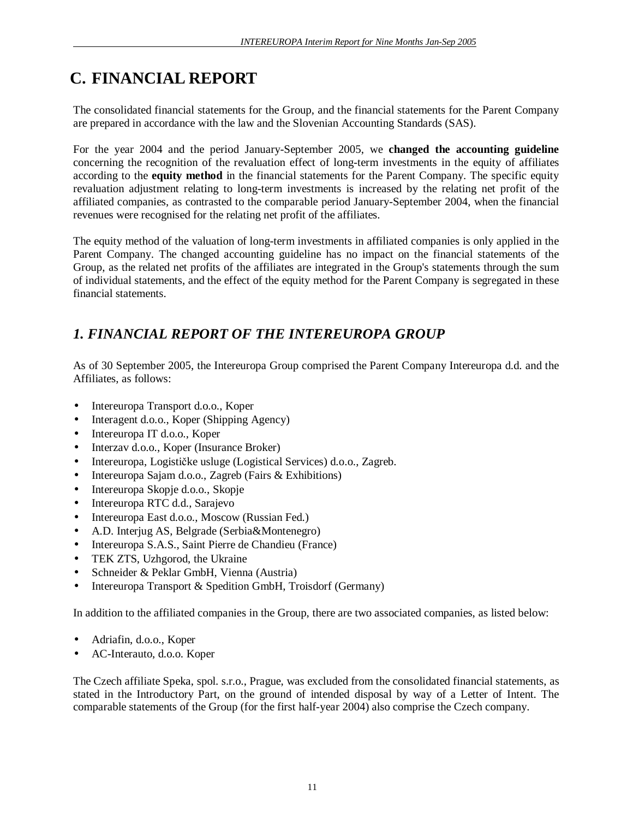# **C. FINANCIAL REPORT**

The consolidated financial statements for the Group, and the financial statements for the Parent Company are prepared in accordance with the law and the Slovenian Accounting Standards (SAS).

For the year 2004 and the period January-September 2005, we **changed the accounting guideline** concerning the recognition of the revaluation effect of long-term investments in the equity of affiliates according to the **equity method** in the financial statements for the Parent Company. The specific equity revaluation adjustment relating to long-term investments is increased by the relating net profit of the affiliated companies, as contrasted to the comparable period January-September 2004, when the financial revenues were recognised for the relating net profit of the affiliates.

The equity method of the valuation of long-term investments in affiliated companies is only applied in the Parent Company. The changed accounting guideline has no impact on the financial statements of the Group, as the related net profits of the affiliates are integrated in the Group's statements through the sum of individual statements, and the effect of the equity method for the Parent Company is segregated in these financial statements.

# *1. FINANCIAL REPORT OF THE INTEREUROPA GROUP*

As of 30 September 2005, the Intereuropa Group comprised the Parent Company Intereuropa d.d. and the Affiliates, as follows:

- Intereuropa Transport d.o.o., Koper
- Interagent d.o.o., Koper (Shipping Agency)
- Intereuropa IT d.o.o., Koper
- Interzav d.o.o., Koper (Insurance Broker)
- Intereuropa, Logističke usluge (Logistical Services) d.o.o., Zagreb.
- Intereuropa Sajam d.o.o., Zagreb (Fairs & Exhibitions)
- Intereuropa Skopje d.o.o., Skopje
- Intereuropa RTC d.d., Sarajevo
- Intereuropa East d.o.o., Moscow (Russian Fed.)
- A.D. Interjug AS, Belgrade (Serbia&Montenegro)
- Intereuropa S.A.S., Saint Pierre de Chandieu (France)
- TEK ZTS, Uzhgorod, the Ukraine
- Schneider & Peklar GmbH, Vienna (Austria)
- Intereuropa Transport & Spedition GmbH, Troisdorf (Germany)

In addition to the affiliated companies in the Group, there are two associated companies, as listed below:

- Adriafin, d.o.o., Koper
- AC-Interauto, d.o.o. Koper

The Czech affiliate Speka, spol. s.r.o., Prague, was excluded from the consolidated financial statements, as stated in the Introductory Part, on the ground of intended disposal by way of a Letter of Intent. The comparable statements of the Group (for the first half-year 2004) also comprise the Czech company.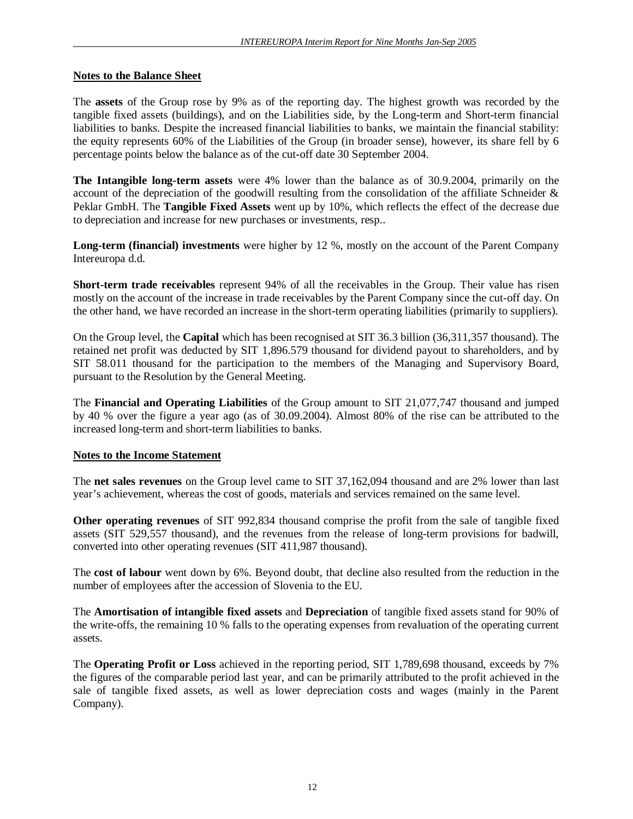#### **Notes to the Balance Sheet**

The **assets** of the Group rose by 9% as of the reporting day. The highest growth was recorded by the tangible fixed assets (buildings), and on the Liabilities side, by the Long-term and Short-term financial liabilities to banks. Despite the increased financial liabilities to banks, we maintain the financial stability: the equity represents 60% of the Liabilities of the Group (in broader sense), however, its share fell by 6 percentage points below the balance as of the cut-off date 30 September 2004.

**The Intangible long-term assets** were 4% lower than the balance as of 30.9.2004, primarily on the account of the depreciation of the goodwill resulting from the consolidation of the affiliate Schneider & Peklar GmbH. The **Tangible Fixed Assets** went up by 10%, which reflects the effect of the decrease due to depreciation and increase for new purchases or investments, resp..

**Long-term (financial) investments** were higher by 12 %, mostly on the account of the Parent Company Intereuropa d.d.

**Short-term trade receivables** represent 94% of all the receivables in the Group. Their value has risen mostly on the account of the increase in trade receivables by the Parent Company since the cut-off day. On the other hand, we have recorded an increase in the short-term operating liabilities (primarily to suppliers).

On the Group level, the **Capital** which has been recognised at SIT 36.3 billion (36,311,357 thousand). The retained net profit was deducted by SIT 1,896.579 thousand for dividend payout to shareholders, and by SIT 58.011 thousand for the participation to the members of the Managing and Supervisory Board, pursuant to the Resolution by the General Meeting.

The **Financial and Operating Liabilities** of the Group amount to SIT 21,077,747 thousand and jumped by 40 % over the figure a year ago (as of 30.09.2004). Almost 80% of the rise can be attributed to the increased long-term and short-term liabilities to banks.

#### **Notes to the Income Statement**

The **net sales revenues** on the Group level came to SIT 37,162,094 thousand and are 2% lower than last year's achievement, whereas the cost of goods, materials and services remained on the same level.

**Other operating revenues** of SIT 992,834 thousand comprise the profit from the sale of tangible fixed assets (SIT 529,557 thousand), and the revenues from the release of long-term provisions for badwill, converted into other operating revenues (SIT 411,987 thousand).

The **cost of labour** went down by 6%. Beyond doubt, that decline also resulted from the reduction in the number of employees after the accession of Slovenia to the EU.

The **Amortisation of intangible fixed assets** and **Depreciation** of tangible fixed assets stand for 90% of the write-offs, the remaining 10 % falls to the operating expenses from revaluation of the operating current assets.

The **Operating Profit or Loss** achieved in the reporting period, SIT 1,789,698 thousand, exceeds by 7% the figures of the comparable period last year, and can be primarily attributed to the profit achieved in the sale of tangible fixed assets, as well as lower depreciation costs and wages (mainly in the Parent Company).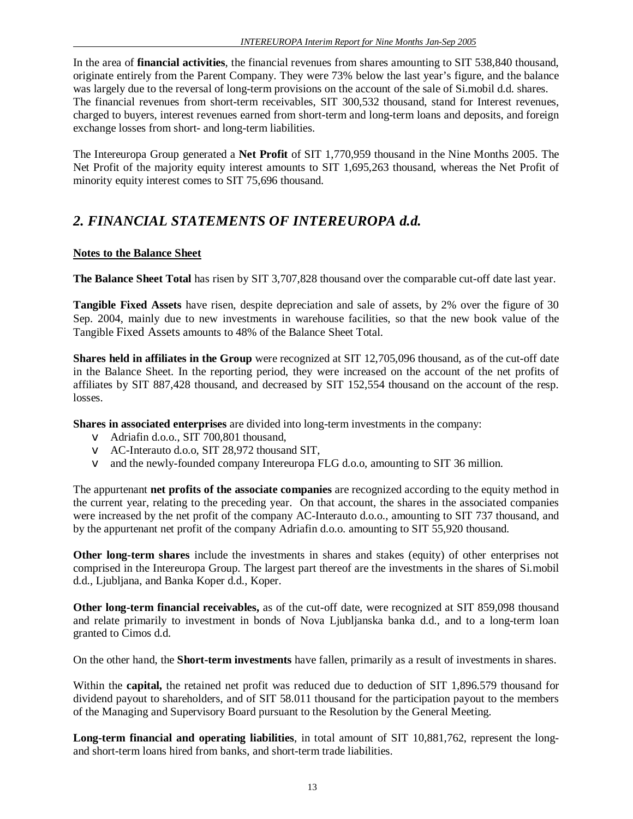In the area of **financial activities**, the financial revenues from shares amounting to SIT 538,840 thousand, originate entirely from the Parent Company. They were 73% below the last year's figure, and the balance was largely due to the reversal of long-term provisions on the account of the sale of Si.mobil d.d. shares. The financial revenues from short-term receivables, SIT 300,532 thousand, stand for Interest revenues, charged to buyers, interest revenues earned from short-term and long-term loans and deposits, and foreign exchange losses from short- and long-term liabilities.

The Intereuropa Group generated a **Net Profit** of SIT 1,770,959 thousand in the Nine Months 2005. The Net Profit of the majority equity interest amounts to SIT 1,695,263 thousand, whereas the Net Profit of minority equity interest comes to SIT 75,696 thousand.

# *2. FINANCIAL STATEMENTS OF INTEREUROPA d.d.*

## **Notes to the Balance Sheet**

**The Balance Sheet Total** has risen by SIT 3,707,828 thousand over the comparable cut-off date last year.

**Tangible Fixed Assets** have risen, despite depreciation and sale of assets, by 2% over the figure of 30 Sep. 2004, mainly due to new investments in warehouse facilities, so that the new book value of the Tangible Fixed Assets amounts to 48% of the Balance Sheet Total.

**Shares held in affiliates in the Group** were recognized at SIT 12,705,096 thousand, as of the cut-off date in the Balance Sheet. In the reporting period, they were increased on the account of the net profits of affiliates by SIT 887,428 thousand, and decreased by SIT 152,554 thousand on the account of the resp. losses.

**Shares in associated enterprises** are divided into long-term investments in the company:

- v Adriafin d.o.o., SIT 700,801 thousand,
- v AC-Interauto d.o.o, SIT 28,972 thousand SIT,
- v and the newly-founded company Intereuropa FLG d.o.o, amounting to SIT 36 million.

The appurtenant **net profits of the associate companies** are recognized according to the equity method in the current year, relating to the preceding year. On that account, the shares in the associated companies were increased by the net profit of the company AC-Interauto d.o.o., amounting to SIT 737 thousand, and by the appurtenant net profit of the company Adriafin d.o.o. amounting to SIT 55,920 thousand.

**Other long-term shares** include the investments in shares and stakes (equity) of other enterprises not comprised in the Intereuropa Group. The largest part thereof are the investments in the shares of Si.mobil d.d., Ljubljana, and Banka Koper d.d., Koper.

**Other long-term financial receivables,** as of the cut-off date, were recognized at SIT 859,098 thousand and relate primarily to investment in bonds of Nova Ljubljanska banka d.d., and to a long-term loan granted to Cimos d.d.

On the other hand, the **Short-term investments** have fallen, primarily as a result of investments in shares.

Within the **capital,** the retained net profit was reduced due to deduction of SIT 1,896.579 thousand for dividend payout to shareholders, and of SIT 58.011 thousand for the participation payout to the members of the Managing and Supervisory Board pursuant to the Resolution by the General Meeting.

**Long-term financial and operating liabilities**, in total amount of SIT 10,881,762, represent the longand short-term loans hired from banks, and short-term trade liabilities.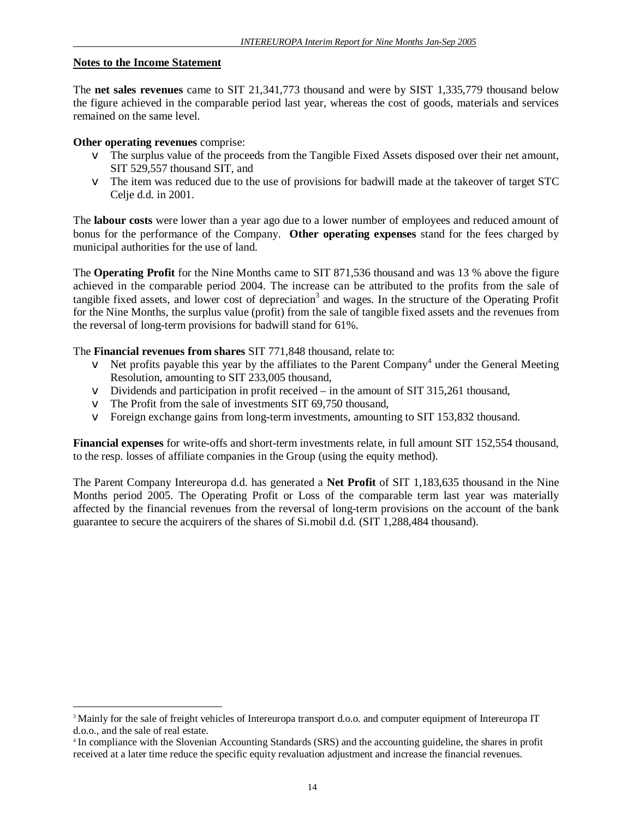#### **Notes to the Income Statement**

The **net sales revenues** came to SIT 21,341,773 thousand and were by SIST 1,335,779 thousand below the figure achieved in the comparable period last year, whereas the cost of goods, materials and services remained on the same level.

#### **Other operating revenues** comprise:

 $\overline{a}$ 

- v The surplus value of the proceeds from the Tangible Fixed Assets disposed over their net amount, SIT 529,557 thousand SIT, and
- v The item was reduced due to the use of provisions for badwill made at the takeover of target STC Celje d.d. in 2001.

The **labour costs** were lower than a year ago due to a lower number of employees and reduced amount of bonus for the performance of the Company. **Other operating expenses** stand for the fees charged by municipal authorities for the use of land.

The **Operating Profit** for the Nine Months came to SIT 871,536 thousand and was 13 % above the figure achieved in the comparable period 2004. The increase can be attributed to the profits from the sale of tangible fixed assets, and lower cost of depreciation<sup>3</sup> and wages. In the structure of the Operating Profit for the Nine Months, the surplus value (profit) from the sale of tangible fixed assets and the revenues from the reversal of long-term provisions for badwill stand for 61%.

The **Financial revenues from shares** SIT 771,848 thousand, relate to:

- $\vee$  Net profits payable this year by the affiliates to the Parent Company<sup>4</sup> under the General Meeting Resolution, amounting to SIT 233,005 thousand,
- v Dividends and participation in profit received in the amount of SIT 315,261 thousand,
- v The Profit from the sale of investments SIT 69,750 thousand,
- v Foreign exchange gains from long-term investments, amounting to SIT 153,832 thousand.

**Financial expenses** for write-offs and short-term investments relate, in full amount SIT 152,554 thousand, to the resp. losses of affiliate companies in the Group (using the equity method).

The Parent Company Intereuropa d.d. has generated a **Net Profit** of SIT 1,183,635 thousand in the Nine Months period 2005. The Operating Profit or Loss of the comparable term last year was materially affected by the financial revenues from the reversal of long-term provisions on the account of the bank guarantee to secure the acquirers of the shares of Si.mobil d.d. (SIT 1,288,484 thousand).

<sup>&</sup>lt;sup>3</sup> Mainly for the sale of freight vehicles of Intereuropa transport d.o.o. and computer equipment of Intereuropa IT d.o.o., and the sale of real estate.

<sup>4</sup> In compliance with the Slovenian Accounting Standards (SRS) and the accounting guideline, the shares in profit received at a later time reduce the specific equity revaluation adjustment and increase the financial revenues.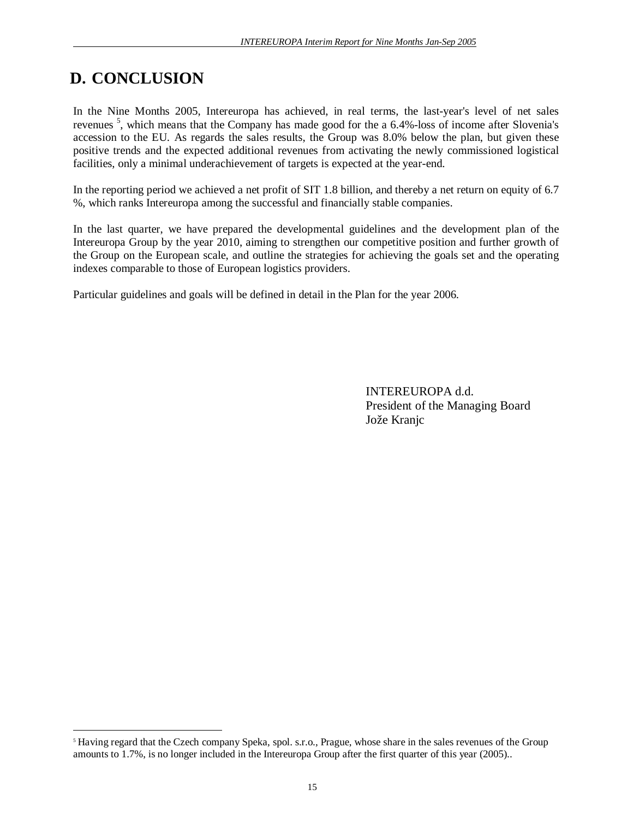# **D. CONCLUSION**

 $\overline{a}$ 

In the Nine Months 2005, Intereuropa has achieved, in real terms, the last-year's level of net sales revenues<sup>5</sup>, which means that the Company has made good for the a 6.4%-loss of income after Slovenia's accession to the EU. As regards the sales results, the Group was 8.0% below the plan, but given these positive trends and the expected additional revenues from activating the newly commissioned logistical facilities, only a minimal underachievement of targets is expected at the year-end.

In the reporting period we achieved a net profit of SIT 1.8 billion, and thereby a net return on equity of 6.7 %, which ranks Intereuropa among the successful and financially stable companies.

In the last quarter, we have prepared the developmental guidelines and the development plan of the Intereuropa Group by the year 2010, aiming to strengthen our competitive position and further growth of the Group on the European scale, and outline the strategies for achieving the goals set and the operating indexes comparable to those of European logistics providers.

Particular guidelines and goals will be defined in detail in the Plan for the year 2006.

INTEREUROPA d.d. President of the Managing Board Jože Kranjc

<sup>5</sup> Having regard that the Czech company Speka, spol. s.r.o., Prague, whose share in the sales revenues of the Group amounts to 1.7%, is no longer included in the Intereuropa Group after the first quarter of this year (2005)..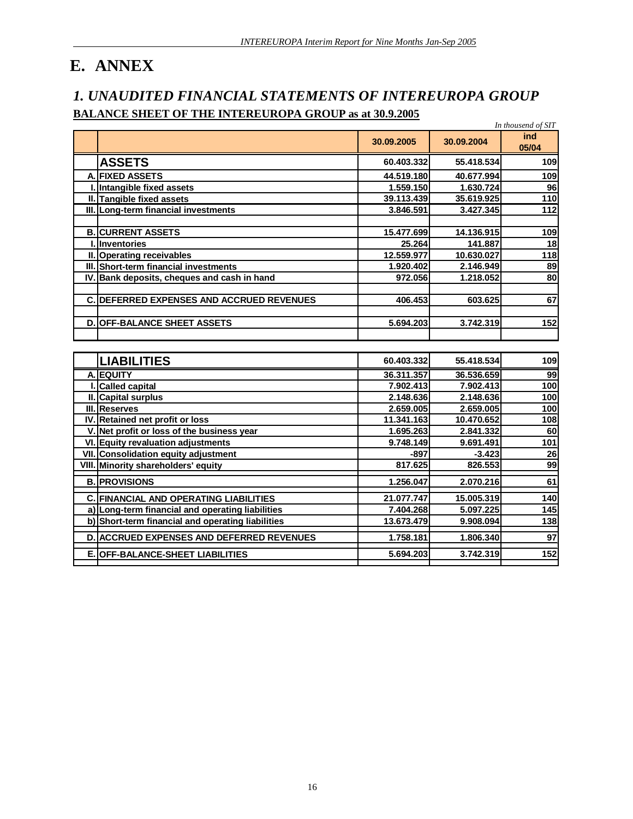# **E. ANNEX**

# *1. UNAUDITED FINANCIAL STATEMENTS OF INTEREUROPA GROUP*  **BALANCE SHEET OF THE INTEREUROPA GROUP as at 30.9.2005**

|          |                                                   |            |            | In thousend of SIT |
|----------|---------------------------------------------------|------------|------------|--------------------|
|          |                                                   | 30.09.2005 | 30.09.2004 | ind<br>05/04       |
|          | <b>ASSETS</b>                                     | 60.403.332 | 55.418.534 | 109                |
|          | <b>A. FIXED ASSETS</b>                            | 44.519.180 | 40.677.994 | 109                |
| L        | Intangible fixed assets                           | 1.559.150  | 1.630.724  | 96                 |
|          | II. Tangible fixed assets                         | 39.113.439 | 35.619.925 | 110                |
|          | III. Long-term financial investments              | 3.846.591  | 3.427.345  | 112                |
|          |                                                   |            |            |                    |
|          | <b>B. CURRENT ASSETS</b>                          | 15.477.699 | 14.136.915 | 109                |
| L        | <b>Inventories</b>                                | 25.264     | 141.887    | 18                 |
| Ш.       | Operating receivables                             | 12.559.977 | 10.630.027 | 118                |
| III.     | Short-term financial investments                  | 1.920.402  | 2.146.949  | 89                 |
| IV       | Bank deposits, cheques and cash in hand           | 972.056    | 1.218.052  | 80                 |
|          |                                                   |            |            |                    |
| C        | DEFERRED EXPENSES AND ACCRUED REVENUES            | 406.453    | 603.625    | 67                 |
|          |                                                   |            |            |                    |
|          | <b>D. OFF-BALANCE SHEET ASSETS</b>                | 5.694.203  | 3.742.319  | 152                |
|          |                                                   |            |            |                    |
|          |                                                   |            |            |                    |
|          | <b>LIABILITIES</b>                                | 60.403.332 | 55.418.534 | 109                |
|          | A. EQUITY                                         | 36.311.357 | 36.536.659 | 99                 |
|          | <b>Called capital</b>                             | 7.902.413  | 7.902.413  | 100                |
|          | II. Capital surplus                               | 2.148.636  | 2.148.636  | 100                |
|          | III. Reserves                                     | 2.659.005  | 2.659.005  | 100                |
|          | IV. Retained net profit or loss                   | 11.341.163 | 10.470.652 | 108                |
| <b>V</b> | Net profit or loss of the business year           | 1.695.263  | 2.841.332  | 60                 |
| VI.      | <b>Equity revaluation adjustments</b>             | 9.748.149  | 9.691.491  | 101                |
|          | VII. Consolidation equity adjustment              | $-897$     | $-3.423$   | 26                 |
|          | VIII. Minority shareholders' equity               | 817.625    | 826.553    | 99                 |
|          | <b>B. PROVISIONS</b>                              | 1.256.047  | 2.070.216  | 61                 |
|          | <b>C. FINANCIAL AND OPERATING LIABILITIES</b>     | 21.077.747 | 15.005.319 | 140                |
|          | a) Long-term financial and operating liabilities  | 7.404.268  | 5.097.225  | 145                |
|          | b) Short-term financial and operating liabilities | 13.673.479 | 9.908.094  | 138                |
|          | <b>D. ACCRUED EXPENSES AND DEFERRED REVENUES</b>  | 1.758.181  | 1.806.340  | 97                 |
| Е.       | OFF-BALANCE-SHEET LIABILITIES                     | 5.694.203  | 3.742.319  | $\overline{152}$   |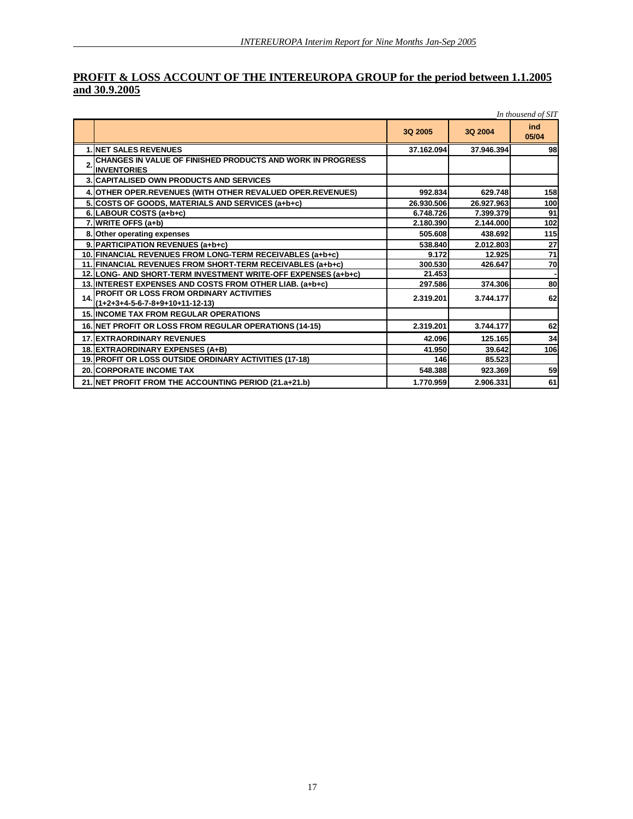## **PROFIT & LOSS ACCOUNT OF THE INTEREUROPA GROUP for the period between 1.1.2005 and 30.9.2005**

|                | In thousend of SIT                                                                      |            |            |                 |  |  |
|----------------|-----------------------------------------------------------------------------------------|------------|------------|-----------------|--|--|
|                |                                                                                         | 3Q 2005    | 3Q 2004    | ind<br>05/04    |  |  |
|                | <b>1. INET SALES REVENUES</b>                                                           | 37.162.094 | 37.946.394 | 98              |  |  |
| $\overline{2}$ | <b>CHANGES IN VALUE OF FINISHED PRODUCTS AND WORK IN PROGRESS</b><br><b>INVENTORIES</b> |            |            |                 |  |  |
|                | <b>3. CAPITALISED OWN PRODUCTS AND SERVICES</b>                                         |            |            |                 |  |  |
|                | 4. OTHER OPER. REVENUES (WITH OTHER REVALUED OPER. REVENUES)                            | 992.834    | 629.748    | 158             |  |  |
|                | 5. COSTS OF GOODS, MATERIALS AND SERVICES (a+b+c)                                       | 26.930.506 | 26.927.963 | 100             |  |  |
|                | 6. LABOUR COSTS (a+b+c)                                                                 | 6.748.726  | 7.399.379  | 91              |  |  |
|                | 7. WRITE OFFS (a+b)                                                                     | 2.180.390  | 2.144.000  | 102             |  |  |
|                | 8. Other operating expenses                                                             | 505.608    | 438.692    | 115             |  |  |
|                | 9. PARTICIPATION REVENUES (a+b+c)                                                       | 538.840    | 2.012.803  | 27              |  |  |
|                | 10. FINANCIAL REVENUES FROM LONG-TERM RECEIVABLES (a+b+c)                               | 9.172      | 12.925     | $\overline{71}$ |  |  |
|                | 11. FINANCIAL REVENUES FROM SHORT-TERM RECEIVABLES (a+b+c)                              | 300.530    | 426.647    | 70              |  |  |
|                | 12. LONG- AND SHORT-TERM INVESTMENT WRITE-OFF EXPENSES (a+b+c)                          | 21.453     |            |                 |  |  |
|                | 13. INTEREST EXPENSES AND COSTS FROM OTHER LIAB. (a+b+c)                                | 297.586    | 374.306    | 80              |  |  |
| 14.            | PROFIT OR LOSS FROM ORDINARY ACTIVITIES<br>$(1+2+3+4-5-6-7-8+9+10+11-12-13)$            | 2.319.201  | 3.744.177  | 62              |  |  |
|                | <b>15. IINCOME TAX FROM REGULAR OPERATIONS</b>                                          |            |            |                 |  |  |
|                | 16. NET PROFIT OR LOSS FROM REGULAR OPERATIONS (14-15)                                  | 2.319.201  | 3.744.177  | 62              |  |  |
|                | <b>17. IEXTRAORDINARY REVENUES</b>                                                      | 42.096     | 125.165    | 34              |  |  |
|                | 18. EXTRAORDINARY EXPENSES (A+B)                                                        | 41.950     | 39.642     | 106             |  |  |
|                | 19. PROFIT OR LOSS OUTSIDE ORDINARY ACTIVITIES (17-18)                                  | 146        | 85.523     |                 |  |  |
|                | <b>20. ICORPORATE INCOME TAX</b>                                                        | 548,388    | 923.369    | 59              |  |  |
|                | 21. NET PROFIT FROM THE ACCOUNTING PERIOD (21.a+21.b)                                   | 1.770.959  | 2.906.331  | 61              |  |  |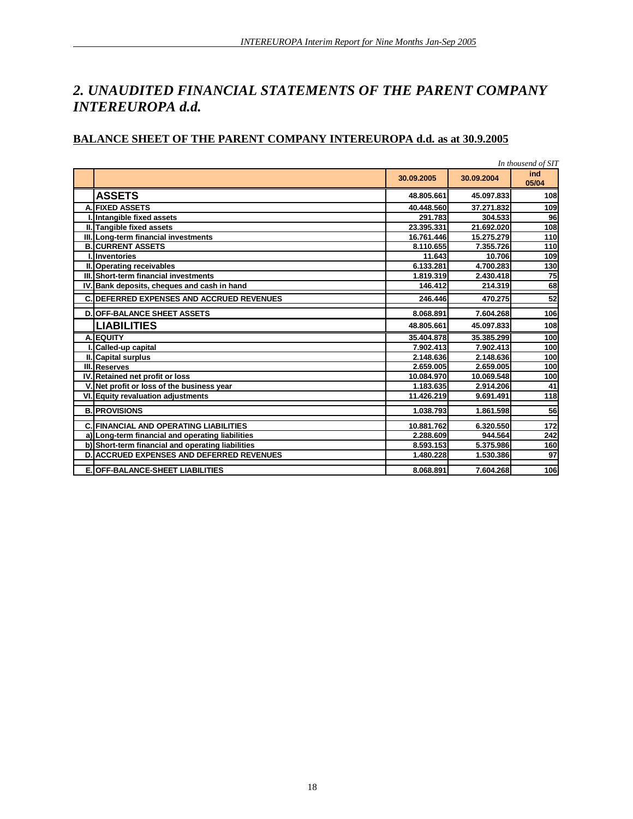# *2. UNAUDITED FINANCIAL STATEMENTS OF THE PARENT COMPANY INTEREUROPA d.d.*

# **BALANCE SHEET OF THE PARENT COMPANY INTEREUROPA d.d. as at 30.9.2005**

| In thousend of SIT                                |            |            |              |  |
|---------------------------------------------------|------------|------------|--------------|--|
|                                                   | 30.09.2005 | 30.09.2004 | ind<br>05/04 |  |
| <b>ASSETS</b>                                     | 48.805.661 | 45.097.833 | 108          |  |
| <b>A. FIXED ASSETS</b>                            | 40.448.560 | 37.271.832 | 109          |  |
| Intangible fixed assets                           | 291.783    | 304.533    | 96           |  |
| II. Tangible fixed assets                         | 23.395.331 | 21.692.020 | 108          |  |
| III. Long-term financial investments              | 16.761.446 | 15.275.279 | 110          |  |
| <b>B.ICURRENT ASSETS</b>                          | 8.110.655  | 7.355.726  | 110          |  |
| <b>Inventories</b>                                | 11.643     | 10.706     | 109          |  |
| II. Operating receivables                         | 6.133.281  | 4.700.283  | 130          |  |
| III. Short-term financial investments             | 1.819.319  | 2.430.418  | 75           |  |
| IV. Bank deposits, cheques and cash in hand       | 146.412    | 214.319    | 68           |  |
| <b>C. DEFERRED EXPENSES AND ACCRUED REVENUES</b>  | 246.446    | 470.275    | 52           |  |
| <b>D. OFF-BALANCE SHEET ASSETS</b>                | 8.068.891  | 7.604.268  | 106          |  |
| <b>LIABILITIES</b>                                | 48.805.661 | 45.097.833 | 108          |  |
| A. EQUITY                                         | 35.404.878 | 35.385.299 | 100          |  |
| Called-up capital                                 | 7.902.413  | 7.902.413  | 100          |  |
| II. Capital surplus                               | 2.148.636  | 2.148.636  | 100          |  |
| III.Reserves                                      | 2.659.005  | 2.659.005  | 100          |  |
| IV. Retained net profit or loss                   | 10.084.970 | 10.069.548 | 100          |  |
| V. Net profit or loss of the business year        | 1.183.635  | 2.914.206  | 41           |  |
| VI. Equity revaluation adjustments                | 11.426.219 | 9.691.491  | 118          |  |
| <b>B. PROVISIONS</b>                              | 1.038.793  | 1.861.598  | 56           |  |
| <b>C. FINANCIAL AND OPERATING LIABILITIES</b>     | 10.881.762 | 6.320.550  | 172          |  |
| a) Long-term financial and operating liabilities  | 2.288.609  | 944.564    | 242          |  |
| b) Short-term financial and operating liabilities | 8.593.153  | 5.375.986  | 160          |  |
| <b>D. ACCRUED EXPENSES AND DEFERRED REVENUES</b>  | 1.480.228  | 1.530.386  | 97           |  |
| <b>E. OFF-BALANCE-SHEET LIABILITIES</b>           | 8.068.891  | 7.604.268  | 106          |  |